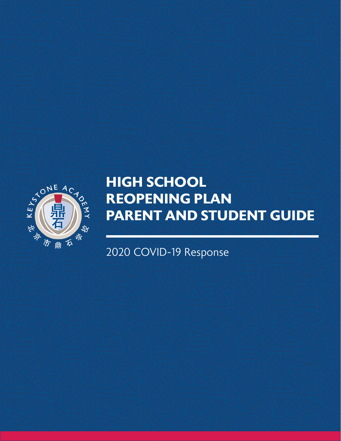

# **HIGH SCHOOL REOPENING PLAN PARENT AND STUDENT GUIDE**

2020 COVID-19 Response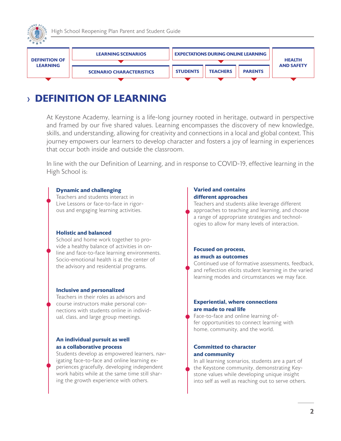<span id="page-1-0"></span>



### › **DEFINITION OF LEARNING**

At Keystone Academy, learning is a life-long journey rooted in heritage, outward in perspective and framed by our five shared values. Learning encompasses the discovery of new knowledge, skills, and understanding, allowing for creativity and connections in a local and global context. This journey empowers our learners to develop character and fosters a joy of learning in experiences that occur both inside and outside the classroom.

In line with the our Definition of Learning, and in response to COVID-19, effective learning in the High School is:

#### **Dynamic and challenging**

Teachers and students interact in Live Lessons or face-to-face in rigorous and engaging learning activities.

#### **Holistic and balanced**

School and home work together to provide a healthy balance of activities in online and face-to-face learning environments. Socio-emotional health is at the center of the advisory and residential programs.

#### **Inclusive and personalized**

Teachers in their roles as advisors and course instructors make personal connections with students online in individual, class, and large group meetings.

### **An individual pursuit as well as a collaborative process**

Students develop as empowered learners, navigating face-to-face and online learning experiences gracefully, developing independent work habits while at the same time still sharing the growth experience with others.

#### **Varied and contains different approaches**

Teachers and students alike leverage different approaches to teaching and learning, and choose a range of appropriate strategies and technologies to allow for many levels of interaction.

### **Focused on process, as much as outcomes**

Continued use of formative assessments, feedback, and reflection elicits student learning in the varied learning modes and circumstances we may face.

### **Experiential, where connections are made to real life**

Face-to-face and online learning offer opportunities to connect learning with home, community, and the world.

### **Committed to character and community**

In all learning scenarios, students are a part of the Keystone community, demonstrating Keystone values while developing unique insight into self as well as reaching out to serve others.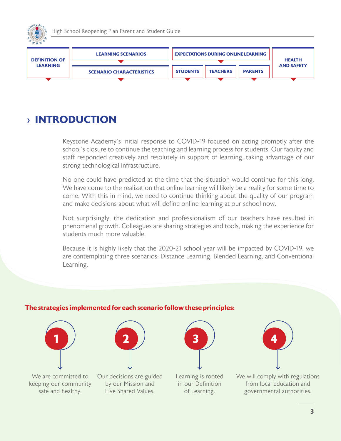

### › **INTRODUCTION**

Keystone Academy's initial response to COVID-19 focused on acting promptly after the school's closure to continue the teaching and learning process for students. Our faculty and staff responded creatively and resolutely in support of learning, taking advantage of our strong technological infrastructure.

No one could have predicted at the time that the situation would continue for this long. We have come to the realization that online learning will likely be a reality for some time to come. With this in mind, we need to continue thinking about the quality of our program and make decisions about what will define online learning at our school now.

Not surprisingly, the dedication and professionalism of our teachers have resulted in phenomenal growth. Colleagues are sharing strategies and tools, making the experience for students much more valuable.

Because it is highly likely that the 2020-21 school year will be impacted by COVID-19, we are contemplating three scenarios: Distance Learning, Blended Learning, and Conventional Learning.

### **The strategies implemented for each scenario follow these principles:**

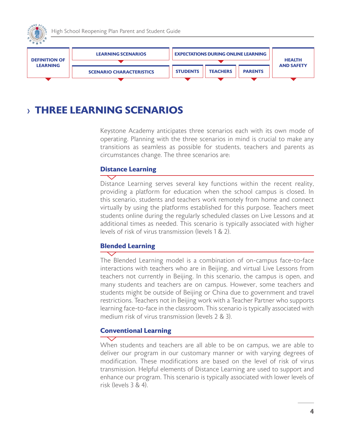<span id="page-3-0"></span>



### › **THREE LEARNING SCENARIOS**

Keystone Academy anticipates three scenarios each with its own mode of operating. Planning with the three scenarios in mind is crucial to make any transitions as seamless as possible for students, teachers and parents as circumstances change. The three scenarios are:

### **Distance Learning**

Distance Learning serves several key functions within the recent reality, providing a platform for education when the school campus is closed. In this scenario, students and teachers work remotely from home and connect virtually by using the platforms established for this purpose. Teachers meet students online during the regularly scheduled classes on Live Lessons and at additional times as needed. This scenario is typically associated with higher levels of risk of virus transmission (levels 1 & 2).

### **Blended Learning**

The Blended Learning model is a combination of on-campus face-to-face interactions with teachers who are in Beijing, and virtual Live Lessons from teachers not currently in Beijing. In this scenario, the campus is open, and many students and teachers are on campus. However, some teachers and students might be outside of Beijing or China due to government and travel restrictions. Teachers not in Beijing work with a Teacher Partner who supports learning face-to-face in the classroom. This scenario is typically associated with medium risk of virus transmission (levels 2 & 3).

### **Conventional Learning**

When students and teachers are all able to be on campus, we are able to deliver our program in our customary manner or with varying degrees of modification. These modifications are based on the level of risk of virus transmission. Helpful elements of Distance Learning are used to support and enhance our program. This scenario is typically associated with lower levels of risk (levels 3 & 4).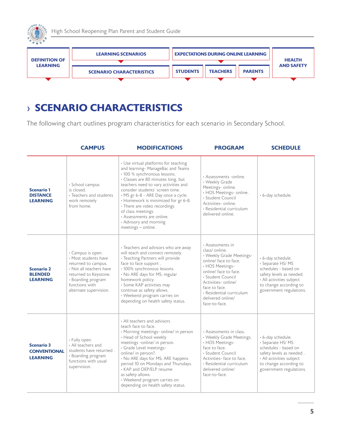<span id="page-4-0"></span>



## › **SCENARIO CHARACTERISTICS**

The following chart outlines program characteristics for each scenario in Secondary School.

|                                                             | <b>CAMPUS</b>                                                                                                                                                                          | <b>MODIFICATIONS</b>                                                                                                                                                                                                                                                                                                                                                                                                                        | <b>PROGRAM</b>                                                                                                                                                                                                                                                    | <b>SCHEDULE</b>                                                                                                                                                            |
|-------------------------------------------------------------|----------------------------------------------------------------------------------------------------------------------------------------------------------------------------------------|---------------------------------------------------------------------------------------------------------------------------------------------------------------------------------------------------------------------------------------------------------------------------------------------------------------------------------------------------------------------------------------------------------------------------------------------|-------------------------------------------------------------------------------------------------------------------------------------------------------------------------------------------------------------------------------------------------------------------|----------------------------------------------------------------------------------------------------------------------------------------------------------------------------|
| <b>Scenario 1</b><br><b>DISTANCE</b><br><b>LEARNING</b>     | · School campus<br>is closed<br>• Teachers and students<br>work remotely<br>from home.                                                                                                 | • Use virtual platforms for teaching<br>and learning- ManageBac and Teams<br>· 100 % synchronous lessons.<br>· Classes are 80 minutes long, but<br>teachers need to vary activities and<br>consider students' screen time.<br>• MS gr 6-8 - ARE Day once a cycle.<br>· Homework is minimized for gr 6-8.<br>• There are video recordings<br>of class meetings.<br>• Assessments are online.<br>• Advisory and morning<br>meetings - online. | · Assessments -online.<br>• Weekly Grade<br>Meetings- online.<br>• HOS Meetings- online.<br>· Student Council<br>Activities- online.<br>• Residential curriculum<br>delivered online.                                                                             | · 6-day schedule.                                                                                                                                                          |
| <b>Scenario 2</b><br><b>BLENDED</b><br><b>LEARNING</b>      | • Campus is open.<br>· Most students have<br>returned to campus.<br>• Not all teachers have<br>returned to Keystone.<br>• Boarding program<br>functions with<br>alternate supervision. | • Teachers and advisors who are away<br>will teach and connect remotely.<br>· Teaching Partners will provide<br>face to face support.<br>· 100% synchronous lessons.<br>. No ARE days for MS; regular<br>homework policy.<br>· Some KAP activities may<br>continue as safety allows.<br>• Weekend program carries on<br>depending on health safety status.                                                                                  | • Assessments in<br>class/ online.<br>• Weekly Grade Meetings-<br>online/ face to face.<br>• HOS Meetings-<br>online/ face to face.<br>· Student Council<br>Activities-online/<br>face to face.<br>• Residential curriculum<br>delivered online/<br>face-to-face. | · 6-day schedule.<br>· Separate HS/MS<br>schedules - based on<br>safety levels as needed.<br>• All activities subject<br>to change according to<br>government regulations. |
| <b>Scenario 3</b><br><b>CONVENTIONAL</b><br><b>LEARNING</b> | · Fully open.<br>• All teachers and<br>students have returned.<br>• Boarding program<br>functions with usual<br>supervision.                                                           | • All teachers and advisors<br>teach face to face.<br>· Morning meetings- online/ in person<br>• Head of School weekly<br>meetings -online/ in person.<br>· Grade Level meetings-<br>online/ in person?.<br>• No ARE days for MS; ARE happens<br>period 10 on Mondays and Thursdays.<br>• KAP and OEP/ELP resume<br>as safety allows.<br>• Weekend program carries on<br>depending on health safety status.                                 | • Assessments in class.<br>• Weekly Grade Meetings.<br>• HOS Meetings-<br>face to face.<br>• Student Council<br>Activities-face to face.<br>• Residential curriculum<br>delivered online/<br>face-to-face.                                                        | · 6-day schedule.<br>• Separate HS/MS<br>schedules - based on<br>safety levels as needed.<br>• All activities subject<br>to change according to<br>government regulations. |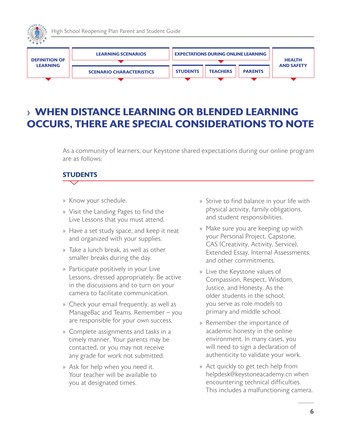<span id="page-5-0"></span>

### › **WHEN DISTANCE LEARNING OR BLENDED LEARNING OCCURS, THERE ARE SPECIAL CONSIDERATIONS TO NOTE**

As a community of learners, our Keystone shared expectations during our online program are as follows:

### **STUDENTS**

- » Know your schedule.
- » Visit the Landing Pages to find the Live Lessons that you must attend.
- » Have a set study space, and keep it neat and organized with your supplies.
- » Take a lunch break, as well as other smaller breaks during the day.
- » Participate positively in your Live Lessons, dressed appropriately. Be active in the discussions and to turn on your camera to facilitate communication.
- » Check your email frequently, as well as ManageBac and Teams. Remember – you are responsible for your own success.
- » Complete assignments and tasks in a timely manner. Your parents may be contacted, or you may not receive any grade for work not submitted.
- » Ask for help when you need it. Your teacher will be available to you at designated times.
- » Strive to find balance in your life with physical activity, family obligations, and student responsibilities.
- » Make sure you are keeping up with your Personal Project, Capstone, CAS (Creativity, Activity, Service), Extended Essay, Internal Assessments, and other commitments.
- » Live the Keystone values of Compassion, Respect, Wisdom, Justice, and Honesty. As the older students in the school, you serve as role models to primary and middle school.
- » Remember the importance of academic honesty in the online environment. In many cases, you will need to sign a declaration of authenticity to validate your work.
- » Act quickly to get tech help from helpdesk@keystoneacademy.cn when encountering technical difficulties. This includes a malfunctioning camera.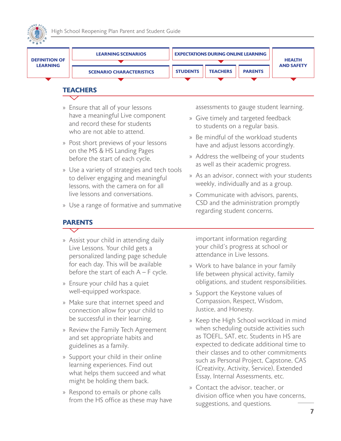<span id="page-6-0"></span>



### **TEACHERS**

- » Ensure that all of your lessons have a meaningful Live component and record these for students who are not able to attend.
- » Post short previews of your lessons on the MS & HS Landing Pages before the start of each cycle.
- » Use a variety of strategies and tech tools to deliver engaging and meaningful lessons, with the camera on for all live lessons and conversations.
- » Use a range of formative and summative

#### **PARENTS** ↽

- » Assist your child in attending daily Live Lessons. Your child gets a personalized landing page schedule for each day. This will be available before the start of each  $A - F$  cycle.
- » Ensure your child has a quiet well-equipped workspace.
- » Make sure that internet speed and connection allow for your child to be successful in their learning.
- » Review the Family Tech Agreement and set appropriate habits and guidelines as a family.
- » Support your child in their online learning experiences. Find out what helps them succeed and what might be holding them back.
- » Respond to emails or phone calls from the HS office as these may have

assessments to gauge student learning.

- » Give timely and targeted feedback to students on a regular basis.
- » Be mindful of the workload students have and adjust lessons accordingly.
- » Address the wellbeing of your students as well as their academic progress.
- » As an advisor, connect with your students weekly, individually and as a group.
- » Communicate with advisors, parents, CSD and the administration promptly regarding student concerns.

important information regarding your child's progress at school or attendance in Live lessons.

- » Work to have balance in your family life between physical activity, family obligations, and student responsibilities.
- » Support the Keystone values of Compassion, Respect, Wisdom, Justice, and Honesty.
- » Keep the High School workload in mind when scheduling outside activities such as TOEFL, SAT, etc. Students in HS are expected to dedicate additional time to their classes and to other commitments such as Personal Project, Capstone, CAS (Creativity, Activity, Service), Extended Essay, Internal Assessments, etc.
- » Contact the advisor, teacher, or division office when you have concerns, suggestions, and questions.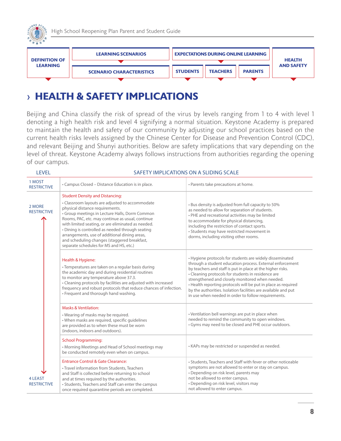<span id="page-7-0"></span>



## › **HEALTH & SAFETY IMPLICATIONS**

Beijing and China classify the risk of spread of the virus by levels ranging from 1 to 4 with level 1 denoting a high health risk and level 4 signifying a normal situation. Keystone Academy is prepared to maintain the health and safety of our community by adjusting our school practices based on the current health risks levels assigned by the Chinese Center for Disease and Prevention Control (CDC), and relevant Beijing and Shunyi authorities. Below are safety implications that vary depending on the level of threat. Keystone Academy always follows instructions from authorities regarding the opening of our campus.

| <b>LEVEL</b>                         | SAFETY IMPLICATIONS ON A SLIDING SCALE                                                                                                                                                                                                                                                                                                                                                                                                                                                   |                                                                                                                                                                                                                                                                                                                                                                                                                                                                                        |  |  |
|--------------------------------------|------------------------------------------------------------------------------------------------------------------------------------------------------------------------------------------------------------------------------------------------------------------------------------------------------------------------------------------------------------------------------------------------------------------------------------------------------------------------------------------|----------------------------------------------------------------------------------------------------------------------------------------------------------------------------------------------------------------------------------------------------------------------------------------------------------------------------------------------------------------------------------------------------------------------------------------------------------------------------------------|--|--|
| 1 MOST<br><b>RESTRICTIVE</b>         | • Campus Closed – Distance Education is in place.                                                                                                                                                                                                                                                                                                                                                                                                                                        | • Parents take precautions at home.                                                                                                                                                                                                                                                                                                                                                                                                                                                    |  |  |
| 2 MORE<br><b>RESTRICTIVE</b>         | <b>Student Density and Distancing:</b><br>• Classroom layouts are adjusted to accommodate<br>physical distance requirements.<br>• Group meetings in Lecture Halls, Dorm Common<br>Rooms, PAC, etc. may continue as usual, continue<br>with limited seating, or are eliminated as needed.<br>• Dining is controlled as needed through seating<br>arrangements, use of additional dining areas,<br>and scheduling changes (staggered breakfast,<br>separate schedules for MS and HS, etc.) | . Bus density is adjusted from full capacity to 50%<br>as needed to allow for separation of students.<br>• PHE and recreational activities may be limited<br>to accommodate for physical distancing,<br>including the restriction of contact sports.<br>• Students may have restricted movement in<br>dorms, including visiting other rooms.                                                                                                                                           |  |  |
|                                      | Health & Hygiene:<br>• Temperatures are taken on a regular basis during<br>the academic day and during residential routines<br>to monitor any temperature above 37.3.<br>• Cleaning protocols by facilities are adjusted with increased<br>frequency and robust protocols that reduce chances of infection.<br>• Frequent and thorough hand washing.                                                                                                                                     | • Hygiene protocols for students are widely disseminated<br>through a student education process. External enforcement<br>by teachers and staff is put in place at the higher risks.<br>• Cleaning protocols for students in residence are<br>strengthened and closely monitored when needed.<br>• Health reporting protocols will be put in place as required<br>by the authorities. Isolation facilities are available and put<br>in use when needed in order to follow requirements. |  |  |
|                                      | <b>Masks &amp; Ventilation:</b><br>. Wearing of masks may be required.<br>. When masks are required, specific guidelines<br>are provided as to when these must be worn<br>(indoors, indoors and outdoors).<br><b>School Programming:</b><br>• Morning Meetings and Head of School meetings may<br>be conducted remotely even when on campus.                                                                                                                                             | • Ventilation bell warnings are put in place when<br>needed to remind the community to open windows.<br>· Gyms may need to be closed and PHE occur outdoors.<br>• KAPs may be restricted or suspended as needed.                                                                                                                                                                                                                                                                       |  |  |
| <b>4 LEAST</b><br><b>RESTRICTIVE</b> | <b>Entrance Control &amp; Gate Clearance:</b><br>• Travel information from Students, Teachers<br>and Staff is collected before returning to school<br>and at times required by the authorities.<br>• Students, Teachers and Staff can enter the campus<br>once required quarantine periods are completed.                                                                                                                                                                                | • Students, Teachers and Staff with fever or other noticeable<br>symptoms are not allowed to enter or stay on campus.<br>• Depending on risk level, parents may<br>not be allowed to enter campus.<br>• Depending on risk level, visitors may<br>not allowed to enter campus.                                                                                                                                                                                                          |  |  |